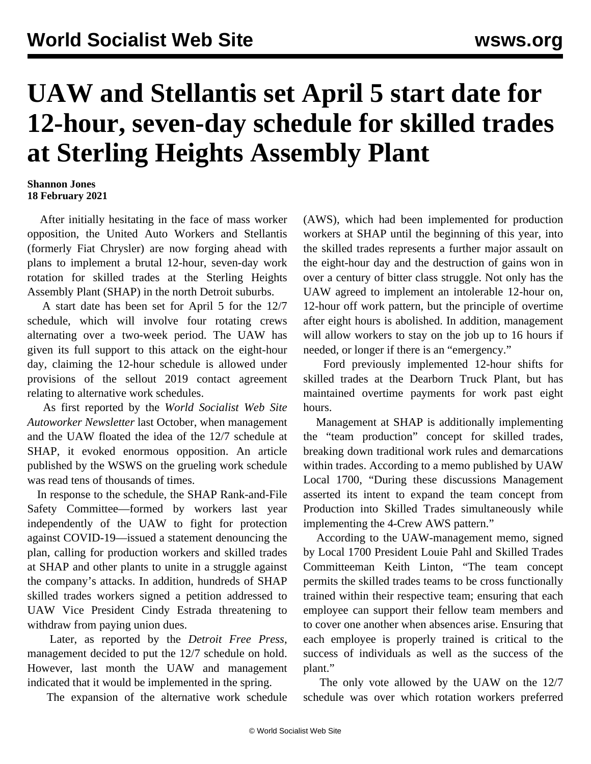## **UAW and Stellantis set April 5 start date for 12-hour, seven-day schedule for skilled trades at Sterling Heights Assembly Plant**

## **Shannon Jones 18 February 2021**

 After initially hesitating in the face of mass worker opposition, the United Auto Workers and Stellantis (formerly Fiat Chrysler) are now forging ahead with plans to implement a brutal 12-hour, seven-day work rotation for skilled trades at the Sterling Heights Assembly Plant (SHAP) in the north Detroit suburbs.

 A start date has been set for April 5 for the 12/7 schedule, which will involve four rotating crews alternating over a two-week period. The UAW has given its full support to this attack on the eight-hour day, claiming the 12-hour schedule is allowed under provisions of the sellout 2019 contact agreement relating to alternative work schedules.

 As first reported by the *World Socialist Web Site Autoworker Newsletter* last October, when management and the UAW floated the idea of the 12/7 schedule at SHAP, it evoked enormous opposition. An [article](/en/articles/2020/10/10/shap-o10.html) published by the WSWS on the grueling work schedule was read tens of thousands of times.

 In response to the schedule, the SHAP Rank-and-File Safety Committee—formed by workers last year independently of the UAW to fight for protection against COVID-19—[issued a statement](/en/articles/2020/10/12/shap-o12.html) denouncing the plan, calling for production workers and skilled trades at SHAP and other plants to unite in a struggle against the company's attacks. In addition, hundreds of SHAP skilled trades workers signed a petition addressed to UAW Vice President Cindy Estrada threatening to withdraw from paying union dues.

 Later, as reported by the *Detroit Free Press*, management decided to put the 12/7 schedule on hold. However, last month the UAW and management indicated that it would be implemented in the spring.

The expansion of the alternative work schedule

(AWS), which had been implemented for production workers at SHAP until the beginning of this year, into the skilled trades represents a further major assault on the eight-hour day and the destruction of gains won in over a century of bitter class struggle. Not only has the UAW agreed to implement an intolerable 12-hour on, 12-hour off work pattern, but the principle of overtime after eight hours is abolished. In addition, management will allow workers to stay on the job up to 16 hours if needed, or longer if there is an "emergency."

 Ford previously implemented 12-hour shifts for skilled trades at the Dearborn Truck Plant, but has maintained overtime payments for work past eight hours.

 Management at SHAP is additionally implementing the "team production" concept for skilled trades, breaking down traditional work rules and demarcations within trades. According to a memo published by UAW Local 1700, "During these discussions Management asserted its intent to expand the team concept from Production into Skilled Trades simultaneously while implementing the 4-Crew AWS pattern."

 According to the UAW-management memo, signed by Local 1700 President Louie Pahl and Skilled Trades Committeeman Keith Linton, "The team concept permits the skilled trades teams to be cross functionally trained within their respective team; ensuring that each employee can support their fellow team members and to cover one another when absences arise. Ensuring that each employee is properly trained is critical to the success of individuals as well as the success of the plant."

 The only vote allowed by the UAW on the 12/7 schedule was over which rotation workers preferred